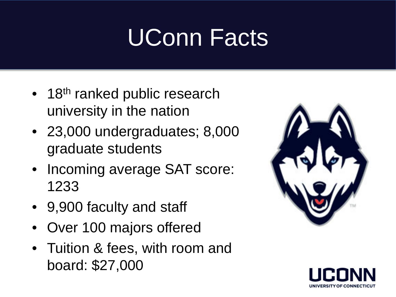## UConn Facts

- 18<sup>th</sup> ranked public research university in the nation
- 23,000 undergraduates; 8,000 graduate students
- Incoming average SAT score: 1233
- 9,900 faculty and staff
- Over 100 majors offered
- Tuition & fees, with room and board: \$27,000



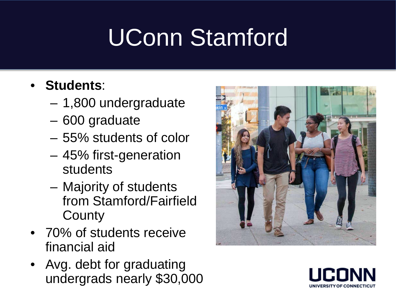# UConn Stamford

#### • **Students**:

- 1,800 undergraduate
- 600 graduate
- 55% students of color
- 45% first-generation students
- Majority of students from Stamford/Fairfield **County**
- 70% of students receive financial aid
- Avg. debt for graduating undergrads nearly \$30,000



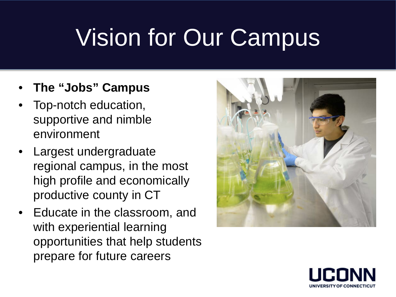## Vision for Our Campus

- **The "Jobs" Campus**
- Top-notch education, supportive and nimble environment
- Largest undergraduate regional campus, in the most high profile and economically productive county in CT
- Educate in the classroom, and with experiential learning opportunities that help students prepare for future careers



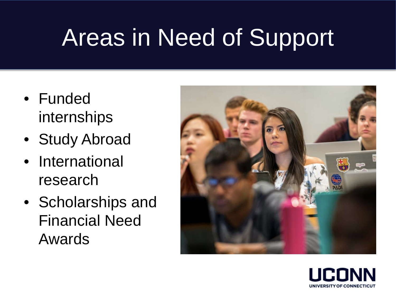## Areas in Need of Support

- Funded internships
- Study Abroad
- International research
- Scholarships and Financial Need Awards



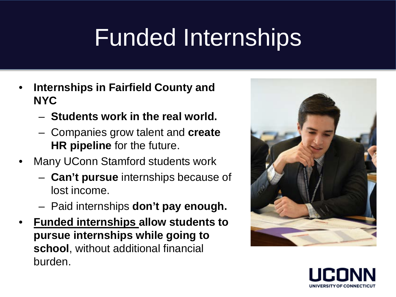## Funded Internships

- **Internships in Fairfield County and NYC**
	- **Students work in the real world.**
	- Companies grow talent and **create HR pipeline** for the future.
- Many UConn Stamford students work
	- **Can't pursue** internships because of lost income.
	- Paid internships **don't pay enough.**
- **Funded internships allow students to pursue internships while going to school**, without additional financial burden.



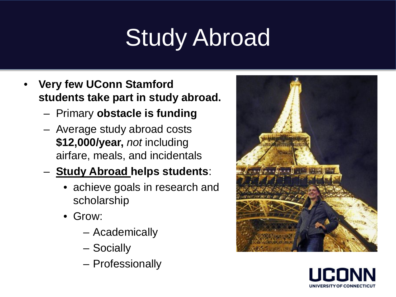# Study Abroad

- **Very few UConn Stamford students take part in study abroad.**
	- Primary **obstacle is funding**
	- Average study abroad costs **\$12,000/year,** *not* including airfare, meals, and incidentals
	- **Study Abroad helps students**:
		- achieve goals in research and scholarship
		- Grow:
			- Academically
			- Socially
			- Professionally



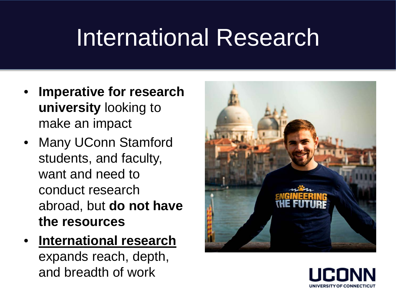#### International Research

- **Imperative for research university** looking to make an impact
- Many UConn Stamford students, and faculty, want and need to conduct research abroad, but **do not have the resources**
- **International research**  expands reach, depth, and breadth of work



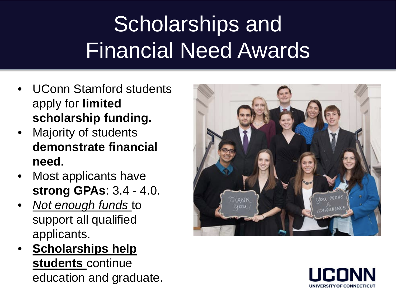#### Scholarships and Financial Need Awards

- UConn Stamford students apply for **limited scholarship funding.**
- Majority of students **demonstrate financial need.**
- Most applicants have **strong GPAs**: 3.4 - 4.0.
- *Not enough funds* to support all qualified applicants.
- **Scholarships help students** continue education and graduate.